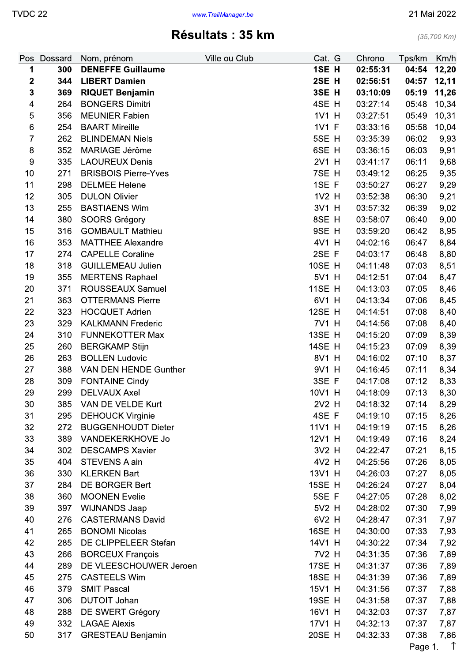$(35,700$  Km)

# Résultats : 35 km

| Pos              | Dossard | Nom, prénom                 | Ville ou Club | Cat. G        | Chrono   | Tps/km  | Km/h       |
|------------------|---------|-----------------------------|---------------|---------------|----------|---------|------------|
| 1                | 300     | <b>DENEFFE Guillaume</b>    |               | 1SE H         | 02:55:31 | 04:54   | 12,20      |
| 2                | 344     | <b>LIBERT Damien</b>        |               | 2SE H         | 02:56:51 | 04:57   | 12,11      |
| 3                | 369     | <b>RIQUET Benjamin</b>      |               | 3SE H         | 03:10:09 | 05:19   | 11,26      |
| 4                | 264     | <b>BONGERS Dimitri</b>      |               | 4SE H         | 03:27:14 | 05:48   | 10,34      |
| $\mathbf 5$      | 356     | <b>MEUNIER Fabien</b>       |               | 1V1 H         | 03:27:51 | 05:49   | 10,31      |
| $\,6\,$          | 254     | <b>BAART Mireille</b>       |               | 1V1 F         | 03:33:16 | 05:58   | 10,04      |
| $\boldsymbol{7}$ | 262     | <b>BLINDEMAN Niels</b>      |               | 5SE H         | 03:35:39 | 06:02   | 9,93       |
| $\bf 8$          | 352     | MARIAGE Jérôme              |               | 6SE H         | 03:36:15 | 06:03   | 9,91       |
| 9                | 335     | <b>LAOUREUX Denis</b>       |               | 2V1 H         | 03:41:17 | 06:11   | 9,68       |
| 10               | 271     | <b>BRISBOIS Pierre-Yves</b> |               | 7SE H         | 03:49:12 | 06:25   | 9,35       |
| 11               | 298     | <b>DELMEE Helene</b>        |               | 1SE F         | 03:50:27 | 06:27   | 9,29       |
| 12               | 305     | <b>DULON Olivier</b>        |               | 1V2 H         | 03:52:38 | 06:30   | 9,21       |
| 13               | 255     | <b>BASTIAENS Wim</b>        |               | 3V1 H         | 03:57:32 | 06:39   | 9,02       |
| 14               | 380     | SOORS Grégory               |               | 8SE H         | 03:58:07 | 06:40   | 9,00       |
| 15               | 316     | <b>GOMBAULT Mathieu</b>     |               | 9SE H         | 03:59:20 | 06:42   | 8,95       |
| 16               | 353     | <b>MATTHEE Alexandre</b>    |               | 4V1 H         | 04:02:16 | 06:47   | 8,84       |
| 17               | 274     | <b>CAPELLE Coraline</b>     |               | 2SE F         | 04:03:17 | 06:48   | 8,80       |
| 18               | 318     | <b>GUILLEMEAU Julien</b>    |               | <b>10SE H</b> | 04:11:48 | 07:03   | 8,51       |
| 19               | 355     | <b>MERTENS Raphael</b>      |               | 5V1 H         | 04:12:51 | 07:04   | 8,47       |
| 20               | 371     | <b>ROUSSEAUX Samuel</b>     |               | <b>11SE H</b> | 04:13:03 | 07:05   | 8,46       |
| 21               | 363     | <b>OTTERMANS Pierre</b>     |               | 6V1 H         | 04:13:34 | 07:06   | 8,45       |
| 22               | 323     | <b>HOCQUET Adrien</b>       |               | <b>12SE H</b> | 04:14:51 | 07:08   | 8,40       |
| 23               | 329     | <b>KALKMANN Frederic</b>    |               | 7V1 H         | 04:14:56 | 07:08   | 8,40       |
| 24               | 310     | <b>FUNNEKOTTER Max</b>      |               | <b>13SE H</b> | 04:15:20 | 07:09   | 8,39       |
| 25               | 260     | <b>BERGKAMP Stijn</b>       |               | <b>14SE H</b> | 04:15:23 | 07:09   | 8,39       |
| 26               | 263     | <b>BOLLEN Ludovic</b>       |               | 8V1 H         | 04:16:02 | 07:10   | 8,37       |
| 27               | 388     | VAN DEN HENDE Gunther       |               | 9V1 H         | 04:16:45 | 07:11   | 8,34       |
| 28               | 309     | <b>FONTAINE Cindy</b>       |               | 3SE F         | 04:17:08 | 07:12   | 8,33       |
| 29               | 299     | <b>DELVAUX Axel</b>         |               | 10V1 H        | 04:18:09 | 07:13   | 8,30       |
| 30               | 385     | VAN DE VELDE Kurt           |               | 2V2 H         | 04:18:32 | 07:14   | 8,29       |
| 31               | 295     | <b>DEHOUCK Virginie</b>     |               | 4SE F         | 04:19:10 | 07:15   | 8,26       |
| 32               | 272     | <b>BUGGENHOUDT Dieter</b>   |               | 11V1 H        | 04:19:19 | 07:15   | 8,26       |
| 33               | 389     | VANDEKERKHOVE Jo            |               | 12V1 H        | 04:19:49 | 07:16   | 8,24       |
| 34               | 302     | <b>DESCAMPS Xavier</b>      |               | 3V2 H         | 04:22:47 | 07:21   | 8,15       |
| 35               | 404     | <b>STEVENS Alain</b>        |               | 4V2 H         | 04:25:56 | 07:26   | 8,05       |
| 36               | 330     | <b>KLERKEN Bart</b>         |               | 13V1 H        | 04:26:03 | 07:27   | 8,05       |
| 37               | 284     | DE BORGER Bert              |               | <b>15SE H</b> | 04:26:24 | 07:27   | 8,04       |
| 38               | 360     | <b>MOONEN Evelie</b>        |               | 5SE F         | 04:27:05 | 07:28   | 8,02       |
| 39               | 397     | <b>WIJNANDS Jaap</b>        |               | 5V2 H         | 04:28:02 | 07:30   | 7,99       |
| 40               | 276     | <b>CASTERMANS David</b>     |               | 6V2 H         | 04:28:47 | 07:31   | 7,97       |
| 41               | 265     | <b>BONOMI Nicolas</b>       |               | <b>16SE H</b> | 04:30:00 | 07:33   | 7,93       |
| 42               | 285     | DE CLIPPELEER Stefan        |               | 14V1 H        | 04:30:22 | 07:34   | 7,92       |
| 43               | 266     | <b>BORCEUX François</b>     |               | 7V2 H         | 04:31:35 | 07:36   |            |
| 44               | 289     | DE VLEESCHOUWER Jeroen      |               | <b>17SE H</b> | 04:31:37 | 07:36   | 7,89       |
| 45               | 275     |                             |               | <b>18SE H</b> |          |         | 7,89       |
|                  |         | <b>CASTEELS Wim</b>         |               |               | 04:31:39 | 07:36   | 7,89       |
| 46               | 379     | <b>SMIT Pascal</b>          |               | 15V1 H        | 04:31:56 | 07:37   | 7,88       |
| 47               | 306     | <b>DUTOIT Johan</b>         |               | <b>19SE H</b> | 04:31:58 | 07:37   | 7,88       |
| 48               | 288     | DE SWERT Grégory            |               | 16V1 H        | 04:32:03 | 07:37   | 7,87       |
| 49               | 332     | <b>LAGAE Alexis</b>         |               | 17V1 H        | 04:32:13 | 07:37   | 7,87       |
| 50               | 317     | <b>GRESTEAU Benjamin</b>    |               | 20SE H        | 04:32:33 | 07:38   | 7,86       |
|                  |         |                             |               |               |          | Page 1. | $\uparrow$ |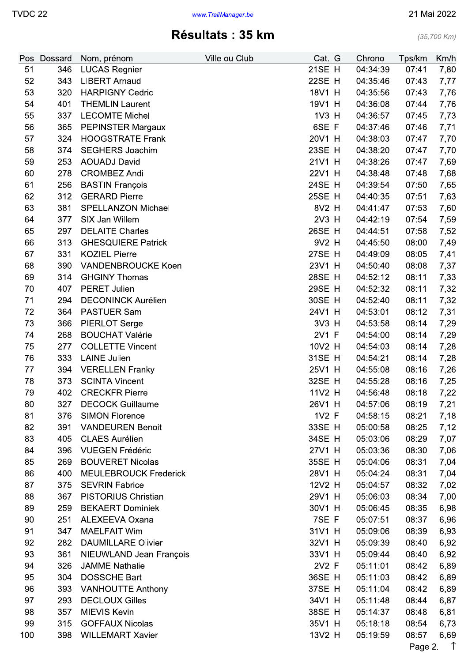## Résultats : 35 km

 $(35,700$  Km)

| Pos      | <b>Dossard</b> | Nom, prénom                                    | Ville ou Club | Cat. G           | Chrono   | Tps/km  | Km/h       |
|----------|----------------|------------------------------------------------|---------------|------------------|----------|---------|------------|
| 51       | 346            | <b>LUCAS Regnier</b>                           |               | <b>21SE H</b>    | 04:34:39 | 07:41   | 7,80       |
| 52       | 343            | <b>LIBERT Arnaud</b>                           |               | 22SE H           | 04:35:46 | 07:43   | 7,77       |
| 53       | 320            | <b>HARPIGNY Cedric</b>                         |               | 18V1 H           | 04:35:56 | 07:43   | 7,76       |
| 54       | 401            | <b>THEMLIN Laurent</b>                         |               | 19V1 H           | 04:36:08 | 07:44   | 7,76       |
| 55       | 337            | <b>LECOMTE Michel</b>                          |               | 1V3 H            | 04:36:57 | 07:45   | 7,73       |
| 56       | 365            | PEPINSTER Margaux                              |               | 6SE F            | 04:37:46 | 07:46   | 7,71       |
| 57       | 324            | <b>HOOGSTRATE Frank</b>                        |               | 20V1 H           | 04:38:03 | 07:47   | 7,70       |
| 58       | 374            | <b>SEGHERS Joachim</b>                         |               | 23SE H           | 04:38:20 | 07:47   | 7,70       |
| 59       | 253            | <b>AOUADJ David</b>                            |               | 21V1 H           | 04:38:26 | 07:47   | 7,69       |
| 60       | 278            | <b>CROMBEZ Andi</b>                            |               | 22V1 H           | 04:38:48 | 07:48   | 7,68       |
| 61       | 256            | <b>BASTIN François</b>                         |               | 24SE H           | 04:39:54 | 07:50   | 7,65       |
| 62       | 312            | <b>GERARD Pierre</b>                           |               | 25SE H           | 04:40:35 | 07:51   | 7,63       |
| 63       | 381            | <b>SPELLANZON Michael</b>                      |               | 8V2 H            | 04:41:47 | 07:53   | 7,60       |
| 64       | 377            | SIX Jan Willem                                 |               | 2V3 H            | 04:42:19 | 07:54   | 7,59       |
| 65       | 297            | <b>DELAITE Charles</b>                         |               | 26SE H           | 04:44:51 | 07:58   | 7,52       |
| 66       | 313            | <b>GHESQUIERE Patrick</b>                      |               | 9V2 H            | 04:45:50 | 08:00   | 7,49       |
| 67       | 331            | <b>KOZIEL Pierre</b>                           |               | 27SE H           | 04:49:09 | 08:05   | 7,41       |
| 68       | 390            | <b>VANDENBROUCKE Koen</b>                      |               | 23V1 H           | 04:50:40 | 08:08   | 7,37       |
| 69       | 314            | <b>GHGINY Thomas</b>                           |               | 28SE H           | 04:52:12 | 08:11   | 7,33       |
| 70       | 407            | <b>PERET Julien</b>                            |               | 29SE H           | 04:52:32 | 08:11   | 7,32       |
| 71       | 294            | <b>DECONINCK Aurélien</b>                      |               | 30SE H           | 04:52:40 | 08:11   | 7,32       |
| 72       | 364            | <b>PASTUER Sam</b>                             |               | 24V1 H           | 04:53:01 | 08:12   | 7,31       |
| 73       | 366            | <b>PIERLOT Serge</b>                           |               | 3V3 H            | 04:53:58 | 08:14   | 7,29       |
| 74       | 268            | <b>BOUCHAT Valérie</b>                         |               | 2V1 F            | 04:54:00 | 08:14   | 7,29       |
| 75       | 277            | <b>COLLETTE Vincent</b>                        |               | 10V2 H           | 04:54:03 | 08:14   | 7,28       |
| 76       | 333            | <b>LAINE Julien</b>                            |               | 31SE H           | 04:54:21 | 08:14   |            |
|          | 394            |                                                |               | 25V1 H           |          |         | 7,28       |
| 77       | 373            | <b>VERELLEN Franky</b>                         |               |                  | 04:55:08 | 08:16   | 7,26       |
| 78<br>79 | 402            | <b>SCINTA Vincent</b><br><b>CRECKFR Pierre</b> |               | 32SE H<br>11V2 H | 04:55:28 | 08:16   | 7,25       |
|          |                |                                                |               |                  | 04:56:48 | 08:18   | 7,22       |
| 80       | 327            | <b>DECOCK Guillaume</b>                        |               | 26V1 H           | 04:57:06 | 08:19   | 7,21       |
| 81       | 376            | <b>SIMON Florence</b>                          |               | 1V2 F            | 04:58:15 | 08:21   | 7,18       |
| 82       | 391            | <b>VANDEUREN Benoit</b>                        |               | 33SE H           | 05:00:58 | 08:25   | 7,12       |
| 83       | 405            | <b>CLAES Aurélien</b>                          |               | 34SE H           | 05:03:06 | 08:29   | 7,07       |
| 84       | 396            | <b>VUEGEN Frédéric</b>                         |               | 27V1 H           | 05:03:36 | 08:30   | 7,06       |
| 85       | 269            | <b>BOUVERET Nicolas</b>                        |               | 35SE H           | 05:04:06 | 08:31   | 7,04       |
| 86       | 400            | <b>MEULEBROUCK Frederick</b>                   |               | 28V1 H           | 05:04:24 | 08:31   | 7,04       |
| 87       | 375            | <b>SEVRIN Fabrice</b>                          |               | 12V2 H           | 05:04:57 | 08:32   | 7,02       |
| 88       | 367            | <b>PISTORIUS Christian</b>                     |               | 29V1 H           | 05:06:03 | 08:34   | 7,00       |
| 89       | 259            | <b>BEKAERT Dominiek</b>                        |               | 30V1 H           | 05:06:45 | 08:35   | 6,98       |
| 90       | 251            | <b>ALEXEEVA Oxana</b>                          |               | 7SE F            | 05:07:51 | 08:37   | 6,96       |
| 91       | 347            | <b>MAELFAIT Wim</b>                            |               | 31V1 H           | 05:09:06 | 08:39   | 6,93       |
| 92       | 282            | <b>DAUMILLARE Olivier</b>                      |               | 32V1 H           | 05:09:39 | 08:40   | 6,92       |
| 93       | 361            | NIEUWLAND Jean-François                        |               | 33V1 H           | 05:09:44 | 08:40   | 6,92       |
| 94       | 326            | <b>JAMME Nathalie</b>                          |               | 2V2 F            | 05:11:01 | 08:42   | 6,89       |
| 95       | 304            | <b>DOSSCHE Bart</b>                            |               | 36SE H           | 05:11:03 | 08:42   | 6,89       |
| 96       | 393            | <b>VANHOUTTE Anthony</b>                       |               | 37SE H           | 05:11:04 | 08:42   | 6,89       |
| 97       | 293            | <b>DECLOUX Gilles</b>                          |               | 34V1 H           | 05:11:48 | 08:44   | 6,87       |
| 98       | 357            | <b>MIEVIS Kevin</b>                            |               | 38SE H           | 05:14:37 | 08:48   | 6,81       |
| 99       | 315            | <b>GOFFAUX Nicolas</b>                         |               | 35V1 H           | 05:18:18 | 08:54   | 6,73       |
| 100      | 398            | <b>WILLEMART Xavier</b>                        |               | 13V2 H           | 05:19:59 | 08:57   | 6,69       |
|          |                |                                                |               |                  |          | Page 2. | $\uparrow$ |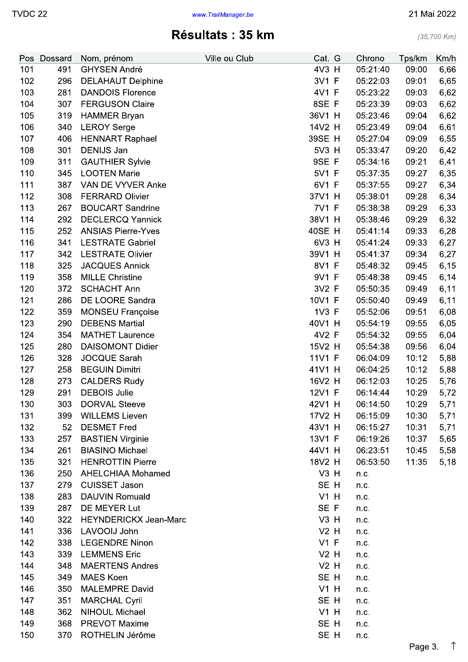$(35,700$  Km)

# Résultats : 35 km

|     | Pos Dossard | Nom, prénom                  | Ville ou Club | Cat. G | Chrono   | Tps/km | Km/h |
|-----|-------------|------------------------------|---------------|--------|----------|--------|------|
| 101 | 491         | <b>GHYSEN André</b>          |               | 4V3 H  | 05:21:40 | 09:00  | 6,66 |
| 102 | 296         | <b>DELAHAUT Delphine</b>     |               | 3V1 F  | 05:22:03 | 09:01  | 6,65 |
| 103 | 281         | <b>DANDOIS Florence</b>      |               | 4V1 F  | 05:23:22 | 09:03  | 6,62 |
| 104 | 307         | <b>FERGUSON Claire</b>       |               | 8SE F  | 05:23:39 | 09:03  | 6,62 |
| 105 | 319         | <b>HAMMER Bryan</b>          |               | 36V1 H | 05:23:46 | 09:04  | 6,62 |
| 106 | 340         | <b>LEROY Serge</b>           |               | 14V2 H | 05:23:49 | 09:04  | 6,61 |
| 107 | 406         | <b>HENNART Raphael</b>       |               | 39SE H | 05:27:04 | 09:09  | 6,55 |
| 108 | 301         | <b>DENIJS Jan</b>            |               | 5V3 H  | 05:33:47 | 09:20  | 6,42 |
| 109 | 311         | <b>GAUTHIER Sylvie</b>       |               | 9SE F  | 05:34:16 | 09:21  | 6,41 |
| 110 | 345         | <b>LOOTEN Marie</b>          |               | 5V1 F  | 05:37:35 | 09:27  | 6,35 |
| 111 | 387         | VAN DE VYVER Anke            |               | 6V1 F  | 05:37:55 | 09:27  | 6,34 |
| 112 | 308         | <b>FERRARD Olivier</b>       |               | 37V1 H | 05:38:01 | 09:28  | 6,34 |
| 113 | 267         | <b>BOUCART Sandrine</b>      |               | 7V1 F  | 05:38:38 | 09:29  | 6,33 |
| 114 | 292         | <b>DECLERCQ Yannick</b>      |               | 38V1 H | 05:38:46 | 09:29  | 6,32 |
| 115 | 252         | <b>ANSIAS Pierre-Yves</b>    |               | 40SE H | 05:41:14 | 09:33  | 6,28 |
| 116 | 341         | <b>LESTRATE Gabriel</b>      |               | 6V3 H  | 05:41:24 | 09:33  | 6,27 |
| 117 | 342         | <b>LESTRATE Olivier</b>      |               | 39V1 H | 05:41:37 | 09:34  | 6,27 |
| 118 | 325         | <b>JACQUES Annick</b>        |               | 8V1 F  | 05:48:32 | 09:45  | 6,15 |
| 119 | 358         | <b>MILLE Christine</b>       |               | 9V1 F  | 05:48:38 | 09:45  | 6,14 |
| 120 | 372         | <b>SCHACHT Ann</b>           |               | 3V2 F  | 05:50:35 | 09:49  | 6,11 |
| 121 | 286         | DE LOORE Sandra              |               | 10V1 F | 05:50:40 | 09:49  | 6,11 |
| 122 | 359         | <b>MONSEU Françoise</b>      |               | 1V3 F  | 05:52:06 | 09:51  | 6,08 |
| 123 | 290         | <b>DEBENS Martial</b>        |               | 40V1 H | 05:54:19 | 09:55  | 6,05 |
| 124 | 354         | <b>MATHET Laurence</b>       |               | 4V2 F  | 05:54:32 | 09:55  | 6,04 |
| 125 | 280         | <b>DAISOMONT Didier</b>      |               | 15V2 H | 05:54:38 | 09:56  | 6,04 |
| 126 | 328         | <b>JOCQUE Sarah</b>          |               | 11V1 F | 06:04:09 | 10:12  | 5,88 |
| 127 | 258         | <b>BEGUIN Dimitri</b>        |               | 41V1 H | 06:04:25 | 10:12  | 5,88 |
| 128 | 273         | <b>CALDERS Rudy</b>          |               | 16V2 H | 06:12:03 | 10:25  | 5,76 |
| 129 | 291         | <b>DEBOIS Julie</b>          |               | 12V1 F | 06:14:44 | 10:29  | 5,72 |
| 130 | 303         | <b>DORVAL Steeve</b>         |               | 42V1 H | 06:14:50 | 10:29  | 5,71 |
| 131 | 399         | <b>WILLEMS Lieven</b>        |               | 17V2 H | 06:15:09 | 10:30  | 5,71 |
| 132 | 52          | <b>DESMET Fred</b>           |               | 43V1 H | 06:15:27 | 10:31  | 5,71 |
| 133 | 257         | <b>BASTIEN Virginie</b>      |               | 13V1 F | 06:19:26 | 10:37  | 5,65 |
| 134 | 261         | <b>BIASINO Michael</b>       |               | 44V1 H | 06:23:51 | 10:45  | 5,58 |
| 135 | 321         | <b>HENROTTIN Pierre</b>      |               | 18V2 H | 06:53:50 | 11:35  | 5,18 |
| 136 | 250         | <b>AHELCHIAA Mohamed</b>     |               | $V3$ H | n.c.     |        |      |
| 137 | 279         | <b>CUISSET Jason</b>         |               | SE H   | n.c.     |        |      |
| 138 | 283         | <b>DAUVIN Romuald</b>        |               | $V1$ H | n.c.     |        |      |
| 139 | 287         | DE MEYER Lut                 |               | SE F   | n.c.     |        |      |
| 140 | 322         | <b>HEYNDERICKX Jean-Marc</b> |               | $V3$ H | n.c.     |        |      |
| 141 | 336         | LAVOOIJ John                 |               | $V2$ H | n.c.     |        |      |
| 142 | 338         | <b>LEGENDRE Ninon</b>        |               | $V1$ F | n.c.     |        |      |
| 143 | 339         | <b>LEMMENS Eric</b>          |               | $V2$ H | n.c.     |        |      |
| 144 | 348         | <b>MAERTENS Andres</b>       |               | $V2$ H | n.c.     |        |      |
| 145 | 349         | <b>MAES Koen</b>             |               | SE H   | n.c.     |        |      |
| 146 | 350         | <b>MALEMPRE David</b>        |               | V1 H   | n.c.     |        |      |
| 147 | 351         | <b>MARCHAL Cyril</b>         |               | SE H   | n.c.     |        |      |
| 148 | 362         | <b>NIHOUL Michael</b>        |               | $V1$ H | n.c.     |        |      |
| 149 | 368         | <b>PREVOT Maxime</b>         |               | SE H   | n.c.     |        |      |
| 150 | 370         | ROTHELIN Jérôme              |               | SE H   | n.c.     |        |      |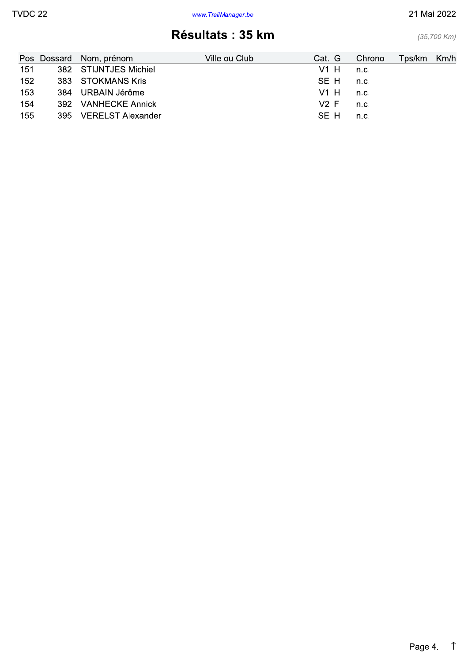#### 21 Mai 2022

 $(35,700$  Km)

# Résultats : 35 km

|     | Pos Dossard Nom, prénom | Ville ou Club | Cat. G | Chrono | Tps/km Km/h |  |
|-----|-------------------------|---------------|--------|--------|-------------|--|
| 151 | 382 STIJNTJES Michiel   |               | V1 H   | n.c.   |             |  |
| 152 | 383 STOKMANS Kris       |               | SE H   | n.c.   |             |  |
| 153 | 384 URBAIN Jérôme       |               | V1 H   | n.c.   |             |  |
| 154 | 392 VANHECKE Annick     |               | V2 F   | n.c.   |             |  |
| 155 | 395 VERELST Alexander   |               | SE H   | n.c.   |             |  |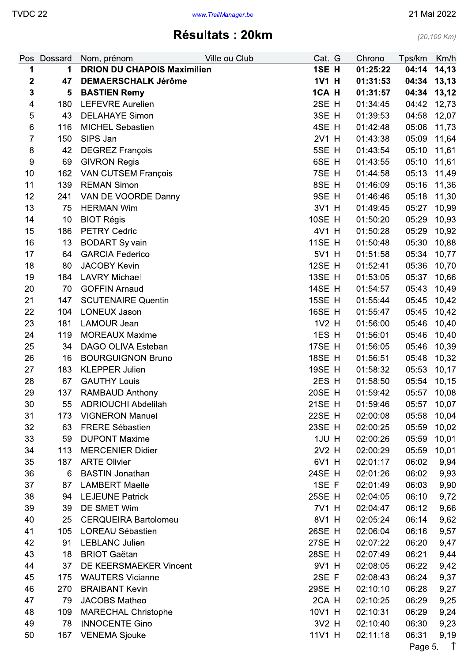Résultats : 20km

|                | Pos Dossard | Nom, prénom                        | Ville ou Club | Cat. G        | Chrono   | Tps/km      | Km/h       |
|----------------|-------------|------------------------------------|---------------|---------------|----------|-------------|------------|
| 1              | 1           | <b>DRION DU CHAPOIS Maximilien</b> |               | 1SE H         | 01:25:22 | 04:14       | 14,13      |
| $\mathbf{2}$   | 47          | <b>DEMAERSCHALK Jérôme</b>         |               | 1V1 H         | 01:31:53 | 04:34       | 13,13      |
| $\mathbf{3}$   | 5           | <b>BASTIEN Remy</b>                |               | 1CA H         | 01:31:57 | 04:34       | 13,12      |
| 4              | 180         | <b>LEFEVRE Aurelien</b>            |               | 2SE H         | 01:34:45 | 04:42       | 12,73      |
| 5              | 43          | <b>DELAHAYE Simon</b>              |               | 3SE H         | 01:39:53 | 04:58       | 12,07      |
| 6              | 116         | <b>MICHEL Sebastien</b>            |               | 4SE H         | 01:42:48 | 05:06       | 11,73      |
| $\overline{7}$ | 150         | SIPS Jan                           |               | 2V1 H         | 01:43:38 | 05:09       | 11,64      |
| 8              | 42          | <b>DEGREZ François</b>             |               | 5SE H         | 01:43:54 | 05:10       | 11,61      |
| $\overline{9}$ | 69          | <b>GIVRON Regis</b>                |               | 6SE H         | 01:43:55 | 05:10       | 11,61      |
| 10             | 162         | <b>VAN CUTSEM François</b>         |               | 7SE H         | 01:44:58 | 05:13       | 11,49      |
| 11             | 139         | <b>REMAN Simon</b>                 |               | 8SE H         | 01:46:09 | 05:16       | 11,36      |
| 12             | 241         | VAN DE VOORDE Danny                |               | 9SE H         | 01:46:46 | 05:18       | 11,30      |
| 13             | 75          | <b>HERMAN Wim</b>                  |               | 3V1 H         | 01:49:45 | 05:27       | 10,99      |
| 14             | 10          | <b>BIOT Régis</b>                  |               | <b>10SE H</b> | 01:50:20 | 05:29       | 10,93      |
| 15             | 186         | <b>PETRY Cedric</b>                |               | 4V1 H         | 01:50:28 | 05:29       | 10,92      |
| 16             | 13          | <b>BODART Sylvain</b>              |               | <b>11SE H</b> | 01:50:48 | 05:30       | 10,88      |
| 17             | 64          | <b>GARCIA Federico</b>             |               | 5V1 H         | 01:51:58 | 05:34       | 10,77      |
| 18             | 80          | <b>JACOBY Kevin</b>                |               | <b>12SE H</b> | 01:52:41 | 05:36       | 10,70      |
| 19             | 184         | <b>LAVRY Michael</b>               |               | 13SE H        | 01:53:05 | 05:37       | 10,66      |
| 20             | 70          | <b>GOFFIN Arnaud</b>               |               | <b>14SE H</b> | 01:54:57 | 05:43       | 10,49      |
| 21             | 147         | <b>SCUTENAIRE Quentin</b>          |               | <b>15SE H</b> | 01:55:44 | 05:45       | 10,42      |
| 22             | 104         | <b>LONEUX Jason</b>                |               | <b>16SE H</b> | 01:55:47 | 05:45       | 10,42      |
| 23             | 181         | LAMOUR Jean                        |               | 1V2 H         | 01:56:00 | 05:46       | 10,40      |
| 24             | 119         | <b>MOREAUX Maxime</b>              |               | 1ES H         | 01:56:01 | 05:46       | 10,40      |
| 25             | 34          | DAGO OLIVA Esteban                 |               | 17SE H        | 01:56:05 | 05:46       | 10,39      |
| 26             | 16          | <b>BOURGUIGNON Bruno</b>           |               | <b>18SE H</b> | 01:56:51 | 05:48       | 10,32      |
| 27             | 183         | <b>KLEPPER Julien</b>              |               | <b>19SE H</b> | 01:58:32 | 05:53       | 10,17      |
| 28             | 67          | <b>GAUTHY Louis</b>                |               | 2ES H         | 01:58:50 | 05:54       | 10,15      |
| 29             | 137         | RAMBAUD Anthony                    |               | 20SE H        | 01:59:42 | 05:57       | 10,08      |
| 30             | 55          | <b>ADRIOUCHI Abdelilah</b>         |               | 21SE H        | 01:59:46 | 05:57 10,07 |            |
| 31             | 173         | <b>VIGNERON Manuel</b>             |               | 22SE H        | 02:00:08 | 05:58       | 10,04      |
| 32             | 63          | <b>FRERE Sébastien</b>             |               | 23SE H        | 02:00:25 | 05:59       | 10,02      |
| 33             | 59          | <b>DUPONT Maxime</b>               |               | 1JU H         | 02:00:26 | 05:59       | 10,01      |
| 34             | 113         | <b>MERCENIER Didier</b>            |               | 2V2 H         | 02:00:29 | 05:59       | 10,01      |
| 35             | 187         | <b>ARTE Olivier</b>                |               | 6V1 H         | 02:01:17 | 06:02       | 9,94       |
| 36             | 6           | <b>BASTIN Jonathan</b>             |               | 24SE H        | 02:01:26 | 06:02       | 9,93       |
| 37             | 87          | <b>LAMBERT Maelle</b>              |               | 1SE F         | 02:01:49 | 06:03       | 9,90       |
| 38             | 94          | <b>LEJEUNE Patrick</b>             |               | <b>25SE H</b> | 02:04:05 | 06:10       | 9,72       |
| 39             | 39          | DE SMET Wim                        |               | 7V1 H         | 02:04:47 | 06:12       | 9,66       |
| 40             | 25          | <b>CERQUEIRA Bartolomeu</b>        |               | 8V1 H         | 02:05:24 | 06:14       | 9,62       |
| 41             | 105         | <b>LOREAU Sébastien</b>            |               | 26SE H        | 02:06:04 | 06:16       | 9,57       |
| 42             | 91          | <b>LEBLANC Julien</b>              |               | 27SE H        | 02:07:22 | 06:20       | 9,47       |
| 43             | 18          | <b>BRIOT Gaëtan</b>                |               | 28SE H        | 02:07:49 | 06:21       | 9,44       |
| 44             | 37          | DE KEERSMAEKER Vincent             |               | 9V1 H         | 02:08:05 | 06:22       | 9,42       |
| 45             | 175         | <b>WAUTERS Vicianne</b>            |               | 2SE F         | 02:08:43 | 06:24       | 9,37       |
| 46             | 270         | <b>BRAIBANT Kevin</b>              |               | 29SE H        | 02:10:10 | 06:28       | 9,27       |
| 47             | 79          | JACOBS Matheo                      |               | 2CA H         | 02:10:25 | 06:29       | 9,25       |
| 48             | 109         | <b>MARECHAL Christophe</b>         |               | 10V1 H        | 02:10:31 | 06:29       | 9,24       |
| 49             | 78          | <b>INNOCENTE Gino</b>              |               | 3V2 H         | 02:10:40 | 06:30       | 9,23       |
| 50             | 167         | <b>VENEMA Sjouke</b>               |               | 11V1 H        | 02:11:18 | 06:31       | 9,19       |
|                |             |                                    |               |               |          | Page 5.     | $\uparrow$ |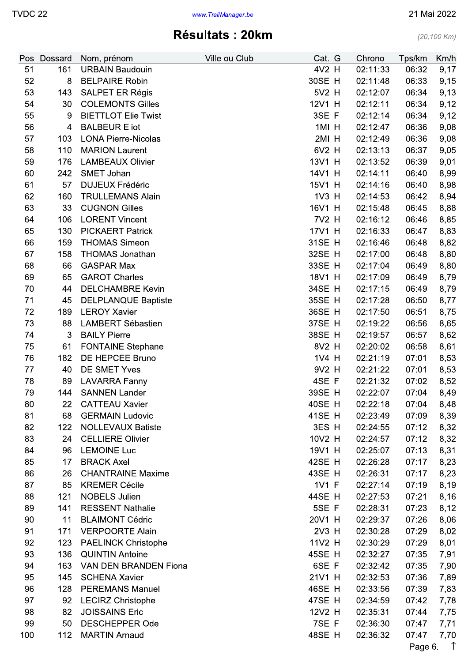### Résultats: 20km

| Pos | Dossard | Nom, prénom                | Ville ou Club | Cat. G | Chrono   | Tps/km  | Km/h       |
|-----|---------|----------------------------|---------------|--------|----------|---------|------------|
| 51  | 161     | <b>URBAIN Baudouin</b>     |               | 4V2 H  | 02:11:33 | 06:32   | 9,17       |
| 52  | 8       | <b>BELPAIRE Robin</b>      |               | 30SE H | 02:11:48 | 06:33   | 9,15       |
| 53  | 143     | <b>SALPETIER Régis</b>     |               | 5V2 H  | 02:12:07 | 06:34   | 9,13       |
| 54  | 30      | <b>COLEMONTS Gilles</b>    |               | 12V1 H | 02:12:11 | 06:34   | 9,12       |
| 55  | $9\,$   | <b>BIETTLOT Elie Twist</b> |               | 3SE F  | 02:12:14 | 06:34   | 9,12       |
| 56  | 4       | <b>BALBEUR Eliot</b>       |               | 1MI H  | 02:12:47 | 06:36   | 9,08       |
| 57  | 103     | <b>LONA Pierre-Nicolas</b> |               | 2MI H  | 02:12:49 | 06:36   | 9,08       |
| 58  | 110     | <b>MARION Laurent</b>      |               | 6V2 H  | 02:13:13 | 06:37   | 9,05       |
| 59  | 176     | <b>LAMBEAUX Olivier</b>    |               | 13V1 H | 02:13:52 | 06:39   | 9,01       |
| 60  | 242     | SMET Johan                 |               | 14V1 H | 02:14:11 | 06:40   | 8,99       |
| 61  | 57      | <b>DUJEUX Frédéric</b>     |               | 15V1 H | 02:14:16 | 06:40   | 8,98       |
| 62  | 160     | <b>TRULLEMANS Alain</b>    |               | 1V3 H  | 02:14:53 | 06:42   | 8,94       |
| 63  | 33      | <b>CUGNON Gilles</b>       |               | 16V1 H | 02:15:48 | 06:45   | 8,88       |
| 64  | 106     | <b>LORENT Vincent</b>      |               | 7V2 H  | 02:16:12 | 06:46   | 8,85       |
| 65  | 130     | <b>PICKAERT Patrick</b>    |               | 17V1 H | 02:16:33 | 06:47   | 8,83       |
| 66  | 159     | <b>THOMAS Simeon</b>       |               | 31SE H | 02:16:46 | 06:48   | 8,82       |
| 67  | 158     | <b>THOMAS Jonathan</b>     |               | 32SE H | 02:17:00 | 06:48   | 8,80       |
| 68  | 66      | <b>GASPAR Max</b>          |               | 33SE H | 02:17:04 | 06:49   | 8,80       |
| 69  | 65      | <b>GAROT Charles</b>       |               | 18V1 H | 02:17:09 | 06:49   | 8,79       |
| 70  | 44      | <b>DELCHAMBRE Kevin</b>    |               | 34SE H | 02:17:15 | 06:49   | 8,79       |
| 71  | 45      | <b>DELPLANQUE Baptiste</b> |               | 35SE H | 02:17:28 | 06:50   | 8,77       |
| 72  | 189     | <b>LEROY Xavier</b>        |               | 36SE H | 02:17:50 | 06:51   | 8,75       |
| 73  | 88      | <b>LAMBERT Sébastien</b>   |               | 37SE H | 02:19:22 | 06:56   | 8,65       |
| 74  | 3       | <b>BAILY Pierre</b>        |               | 38SE H | 02:19:57 | 06:57   | 8,62       |
| 75  | 61      | <b>FONTAINE Stephane</b>   |               | 8V2 H  | 02:20:02 | 06:58   | 8,61       |
| 76  | 182     | DE HEPCEE Bruno            |               | 1V4 H  | 02:21:19 | 07:01   | 8,53       |
| 77  | 40      | DE SMET Yves               |               | 9V2 H  | 02:21:22 | 07:01   | 8,53       |
| 78  | 89      | <b>LAVARRA Fanny</b>       |               | 4SE F  | 02:21:32 | 07:02   | 8,52       |
| 79  | 144     | <b>SANNEN Lander</b>       |               | 39SE H | 02:22:07 | 07:04   | 8,49       |
| 80  | 22      | <b>CATTEAU Xavier</b>      |               | 40SE H | 02:22:18 | 07:04   | 8,48       |
| 81  | 68      | <b>GERMAIN Ludovic</b>     |               | 41SE H | 02:23:49 | 07:09   | 8,39       |
| 82  | 122     | <b>NOLLEVAUX Batiste</b>   |               | 3ES H  | 02:24:55 | 07:12   | 8,32       |
| 83  | 24      | <b>CELLIERE Olivier</b>    |               | 10V2 H | 02:24:57 | 07:12   | 8,32       |
| 84  | 96      | <b>LEMOINE Luc</b>         |               | 19V1 H | 02:25:07 | 07:13   | 8,31       |
| 85  | 17      | <b>BRACK Axel</b>          |               | 42SE H | 02:26:28 | 07:17   | 8,23       |
| 86  | 26      | <b>CHANTRAINE Maxime</b>   |               | 43SE H | 02:26:31 | 07:17   | 8,23       |
| 87  | 85      | <b>KREMER Cécile</b>       |               | 1V1 F  | 02:27:14 | 07:19   | 8,19       |
| 88  | 121     | <b>NOBELS Julien</b>       |               | 44SE H | 02:27:53 | 07:21   | 8,16       |
| 89  | 141     | <b>RESSENT Nathalie</b>    |               | 5SE F  | 02:28:31 | 07:23   | 8,12       |
| 90  | 11      | <b>BLAIMONT Cédric</b>     |               | 20V1 H | 02:29:37 | 07:26   | 8,06       |
| 91  | 171     | <b>VERPOORTE Alain</b>     |               | 2V3 H  | 02:30:28 | 07:29   | 8,02       |
| 92  | 123     | <b>PAELINCK Christophe</b> |               | 11V2 H | 02:30:29 | 07:29   | 8,01       |
| 93  | 136     | <b>QUINTIN Antoine</b>     |               | 45SE H | 02:32:27 | 07:35   | 7,91       |
| 94  | 163     | VAN DEN BRANDEN Fiona      |               | 6SE F  | 02:32:42 | 07:35   | 7,90       |
| 95  | 145     | <b>SCHENA Xavier</b>       |               | 21V1 H | 02:32:53 | 07:36   | 7,89       |
| 96  | 128     | <b>PEREMANS Manuel</b>     |               | 46SE H | 02:33:56 | 07:39   | 7,83       |
| 97  | 92      | <b>LECIRZ Christophe</b>   |               | 47SE H | 02:34:59 | 07:42   | 7,78       |
| 98  | 82      | <b>JOISSAINS Eric</b>      |               | 12V2 H | 02:35:31 | 07:44   | 7,75       |
| 99  | 50      | <b>DESCHEPPER Ode</b>      |               | 7SE F  | 02:36:30 | 07:47   | 7,71       |
| 100 | 112     | <b>MARTIN Arnaud</b>       |               | 48SE H | 02:36:32 | 07:47   | 7,70       |
|     |         |                            |               |        |          | Page 6. | $\uparrow$ |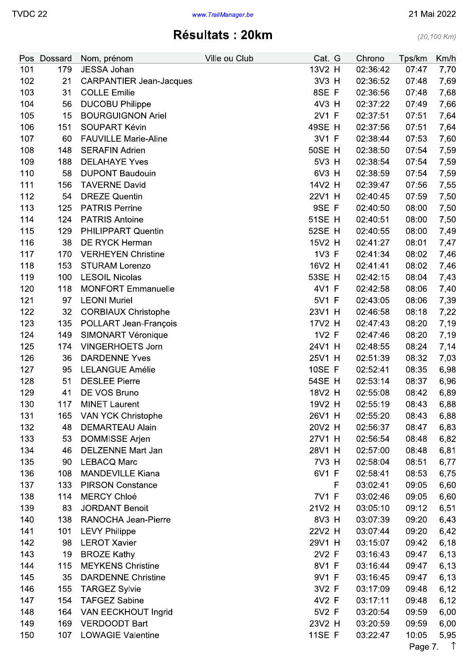### Résultats: 20km

| Pos        | Dossard    | Nom, prénom                                 | Ville ou Club | Cat. G        |   | Chrono               | Tps/km         | Km/h               |
|------------|------------|---------------------------------------------|---------------|---------------|---|----------------------|----------------|--------------------|
| 101        | 179        | JESSA Johan                                 |               | 13V2 H        |   | 02:36:42             | 07:47          | 7,70               |
| 102        | 21         | <b>CARPANTIER Jean-Jacques</b>              |               | 3V3 H         |   | 02:36:52             | 07:48          | 7,69               |
| 103        | 31         | <b>COLLE Emilie</b>                         |               | 8SE F         |   | 02:36:56             | 07:48          | 7,68               |
| 104        | 56         | <b>DUCOBU Philippe</b>                      |               | 4V3 H         |   | 02:37:22             | 07:49          | 7,66               |
| 105        | 15         | <b>BOURGUIGNON Ariel</b>                    |               | 2V1 F         |   | 02:37:51             | 07:51          | 7,64               |
| 106        | 151        | <b>SOUPART Kévin</b>                        |               | 49SE H        |   | 02:37:56             | 07:51          | 7,64               |
| 107        | 60         | <b>FAUVILLE Marie-Aline</b>                 |               | 3V1 F         |   | 02:38:44             | 07:53          | 7,60               |
| 108        | 148        | <b>SERAFIN Adrien</b>                       |               | <b>50SE H</b> |   | 02:38:50             | 07:54          | 7,59               |
| 109        | 188        | <b>DELAHAYE Yves</b>                        |               | 5V3 H         |   | 02:38:54             | 07:54          | 7,59               |
| 110        | 58         | <b>DUPONT Baudouin</b>                      |               | 6V3 H         |   | 02:38:59             | 07:54          | 7,59               |
| 111        | 156        | <b>TAVERNE David</b>                        |               | 14V2 H        |   | 02:39:47             | 07:56          | 7,55               |
| 112        | 54         | <b>DREZE Quentin</b>                        |               | 22V1 H        |   | 02:40:45             | 07:59          | 7,50               |
| 113        | 125        | <b>PATRIS Perrine</b>                       |               | 9SE F         |   | 02:40:50             | 08:00          | 7,50               |
| 114        | 124        | <b>PATRIS Antoine</b>                       |               | <b>51SE H</b> |   | 02:40:51             | 08:00          | 7,50               |
| 115        | 129        | <b>PHILIPPART Quentin</b>                   |               | 52SE H        |   | 02:40:55             | 08:00          | 7,49               |
| 116        | 38         | <b>DE RYCK Herman</b>                       |               | 15V2 H        |   | 02:41:27             | 08:01          | 7,47               |
| 117        | 170        | <b>VERHEYEN Christine</b>                   |               | 1V3 F         |   | 02:41:34             | 08:02          | 7,46               |
| 118        | 153        | <b>STURAM Lorenzo</b>                       |               | 16V2 H        |   | 02:41:41             | 08:02          | 7,46               |
| 119        | 100        | <b>LESOIL Nicolas</b>                       |               | 53SE H        |   | 02:42:15             | 08:04          | 7,43               |
| 120        | 118        | <b>MONFORT Emmanuelle</b>                   |               | 4V1 F         |   | 02:42:58             | 08:06          | 7,40               |
| 121        | 97         | <b>LEONI Muriel</b>                         |               | 5V1 F         |   | 02:43:05             | 08:06          | 7,39               |
| 122        | 32         | <b>CORBIAUX Christophe</b>                  |               | 23V1 H        |   | 02:46:58             | 08:18          | 7,22               |
| 123        | 135        | POLLART Jean-François                       |               | 17V2 H        |   | 02:47:43             | 08:20          | 7,19               |
| 124        | 149        | SIMONART Véronique                          |               | 1V2 F         |   | 02:47:46             | 08:20          | 7,19               |
| 125        | 174        | <b>VINGERHOETS Jorn</b>                     |               | 24V1 H        |   | 02:48:55             | 08:24          | 7,14               |
| 126        | 36         | <b>DARDENNE Yves</b>                        |               | 25V1 H        |   | 02:51:39             | 08:32          | 7,03               |
| 127        | 95         | <b>LELANGUE Amélie</b>                      |               | <b>10SE F</b> |   | 02:52:41             | 08:35          | 6,98               |
| 128        | 51         | <b>DESLEE Pierre</b>                        |               | 54SE H        |   | 02:53:14             | 08:37          | 6,96               |
| 129        | 41         | DE VOS Bruno                                |               | 18V2 H        |   | 02:55:08             | 08:42          | 6,89               |
| 130        |            | 117 MINET Laurent                           |               | 19V2 H        |   | 02:55:19             | 08:43          | 6,88               |
| 131        | 165        | VAN YCK Christophe                          |               | 26V1 H        |   | 02:55:20             | 08:43          | 6,88               |
| 132        | 48         | <b>DEMARTEAU Alain</b>                      |               | 20V2 H        |   | 02:56:37             | 08:47          | 6,83               |
| 133        | 53         | <b>DOMMISSE Arjen</b>                       |               | 27V1 H        |   | 02:56:54             | 08:48          | 6,82               |
| 134        | 46         | <b>DELZENNE Mart Jan</b>                    |               | 28V1 H        |   | 02:57:00             | 08:48          | 6,81               |
| 135        | 90         | <b>LEBACQ Marc</b>                          |               | 7V3 H         |   | 02:58:04             | 08:51          | 6,77               |
| 136        | 108        | <b>MANDEVILLE Kiana</b>                     |               | 6V1 F         |   | 02:58:41             | 08:53          | 6,75               |
| 137        | 133        | <b>PIRSON Constance</b>                     |               |               | F | 03:02:41             | 09:05          | 6,60               |
| 138        | 114        | <b>MERCY Chloé</b>                          |               | 7V1 F         |   | 03:02:46             | 09:05          | 6,60               |
| 139        | 83         | <b>JORDANT Benoit</b>                       |               | 21V2 H        |   | 03:05:10             | 09:12          | 6,51               |
| 140        | 138        | RANOCHA Jean-Pierre                         |               | 8V3 H         |   | 03:07:39             | 09:20          | 6,43               |
| 141        | 101        | <b>LEVY Philippe</b>                        |               | 22V2 H        |   | 03:07:44             | 09:20          | 6,42               |
| 142        | 98         | <b>LEROT Xavier</b>                         |               | 29V1 H        |   | 03:15:07             | 09:42          | 6,18               |
| 143        | 19         | <b>BROZE Kathy</b>                          |               | 2V2 F         |   | 03:16:43             | 09:47          | 6,13               |
| 144        | 115        | <b>MEYKENS Christine</b>                    |               | 8V1 F         |   | 03:16:44             | 09:47          | 6,13               |
| 145        | 35         | <b>DARDENNE Christine</b>                   |               | 9V1 F         |   | 03:16:45             | 09:47          |                    |
| 146        | 155        | <b>TARGEZ Sylvie</b>                        |               | 3V2 F         |   | 03:17:09             | 09:48          | 6,13               |
|            |            |                                             |               | 4V2 F         |   |                      |                | 6,12               |
| 147<br>148 | 154<br>164 | <b>TAFGEZ Sabine</b>                        |               | 5V2 F         |   | 03:17:11<br>03:20:54 | 09:48          | 6,12               |
| 149        | 169        | VAN EECKHOUT Ingrid<br><b>VERDOODT Bart</b> |               | 23V2 H        |   |                      | 09:59          | 6,00               |
|            | 107        | <b>LOWAGIE Valentine</b>                    |               | <b>11SE F</b> |   | 03:20:59             | 09:59<br>10:05 | 6,00               |
| 150        |            |                                             |               |               |   | 03:22:47             |                | 5,95<br>$\uparrow$ |
|            |            |                                             |               |               |   |                      | Page 7.        |                    |